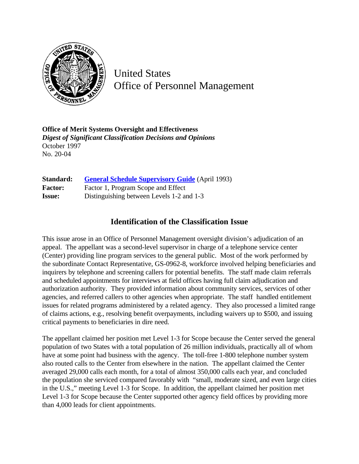

United States Office of Personnel Management

**Office of Merit Systems Oversight and Effectiveness** *Digest of Significant Classification Decisions and Opinions* October 1997 No. 20-04

| Standard:      | <b>General Schedule Supervisory Guide</b> (April 1993) |
|----------------|--------------------------------------------------------|
| <b>Factor:</b> | Factor 1, Program Scope and Effect                     |
| <b>Issue:</b>  | Distinguishing between Levels 1-2 and 1-3              |

## **Identification of the Classification Issue**

This issue arose in an Office of Personnel Management oversight division's adjudication of an appeal. The appellant was a second-level supervisor in charge of a telephone service center (Center) providing line program services to the general public. Most of the work performed by the subordinate Contact Representative, GS-0962-8, workforce involved helping beneficiaries and inquirers by telephone and screening callers for potential benefits. The staff made claim referrals and scheduled appointments for interviews at field offices having full claim adjudication and authorization authority. They provided information about community services, services of other agencies, and referred callers to other agencies when appropriate. The staff handled entitlement issues for related programs administered by a related agency. They also processed a limited range of claims actions, e.g., resolving benefit overpayments, including waivers up to \$500, and issuing critical payments to beneficiaries in dire need.

The appellant claimed her position met Level 1-3 for Scope because the Center served the general population of two States with a total population of 26 million individuals, practically all of whom have at some point had business with the agency. The toll-free 1-800 telephone number system also routed calls to the Center from elsewhere in the nation. The appellant claimed the Center averaged 29,000 calls each month, for a total of almost 350,000 calls each year, and concluded the population she serviced compared favorably with "small, moderate sized, and even large cities in the U.S.," meeting Level 1-3 for Scope. In addition, the appellant claimed her position met Level 1-3 for Scope because the Center supported other agency field offices by providing more than 4,000 leads for client appointments.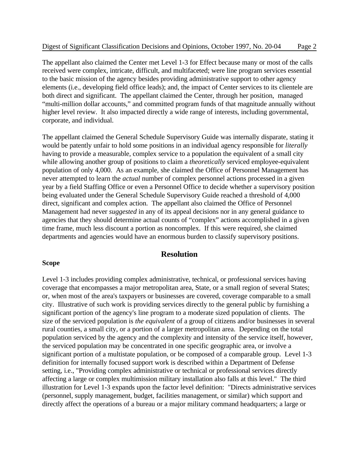The appellant also claimed the Center met Level 1-3 for Effect because many or most of the calls received were complex, intricate, difficult, and multifaceted; were line program services essential to the basic mission of the agency besides providing administrative support to other agency elements (i.e., developing field office leads); and, the impact of Center services to its clientele are both direct and significant. The appellant claimed the Center, through her position, managed "multi-million dollar accounts," and committed program funds of that magnitude annually without higher level review. It also impacted directly a wide range of interests, including governmental, corporate, and individual.

The appellant claimed the General Schedule Supervisory Guide was internally disparate, stating it would be patently unfair to hold some positions in an individual agency responsible for *literally* having to provide a measurable, complex service to a population the equivalent of a small city while allowing another group of positions to claim a *theoretically* serviced employee-equivalent population of only 4,000. As an example, she claimed the Office of Personnel Management has never attempted to learn the *actual* number of complex personnel actions processed in a given year by a field Staffing Office or even a Personnel Office to decide whether a supervisory position being evaluated under the General Schedule Supervisory Guide reached a threshold of 4,000 direct, significant and complex action. The appellant also claimed the Office of Personnel Management had never *suggested* in any of its appeal decisions nor in any general guidance to agencies that they should determine actual counts of "complex" actions accomplished in a given time frame, much less discount a portion as noncomplex. If this were required, she claimed departments and agencies would have an enormous burden to classify supervisory positions.

## **Resolution**

## **Scope**

Level 1-3 includes providing complex administrative, technical, or professional services having coverage that encompasses a major metropolitan area, State, or a small region of several States; or, when most of the area's taxpayers or businesses are covered, coverage comparable to a small city. Illustrative of such work is providing services directly to the general public by furnishing a significant portion of the agency's line program to a moderate sized population of clients. The size of the serviced population is *the equivalent* of a group of citizens and/or businesses in several rural counties, a small city, or a portion of a larger metropolitan area. Depending on the total population serviced by the agency and the complexity and intensity of the service itself, however, the serviced population may be concentrated in one specific geographic area, or involve a significant portion of a multistate population, or be composed of a comparable group. Level 1-3 definition for internally focused support work is described within a Department of Defense setting, i.e., "Providing complex administrative or technical or professional services directly affecting a large or complex multimission military installation also falls at this level." The third illustration for Level 1-3 expands upon the factor level definition: "Directs administrative services (personnel, supply management, budget, facilities management, or similar) which support and directly affect the operations of a bureau or a major military command headquarters; a large or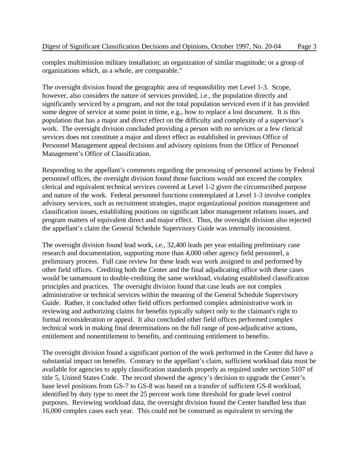complex multimission military installation; an organization of similar magnitude; or a group of organizations which, as a whole, are comparable."

The oversight division found the geographic area of responsibility met Level 1-3. Scope, however, also considers the nature of services provided, i.e., the population directly and significantly serviced by a program, and not the total population serviced even if it has provided some degree of service at some point in time, e.g., how to replace a lost document. It is this population that has a major and direct effect on the difficulty and complexity of a supervisor's work. The oversight division concluded providing a person with no services or a few clerical services does not constitute a major and direct effect as established in previous Office of Personnel Management appeal decisions and advisory opinions from the Office of Personnel Management's Office of Classification.

Responding to the appellant's comments regarding the processing of personnel actions by Federal personnel offices, the oversight division found those functions would not exceed the complex clerical and equivalent technical services covered at Level 1-2 given the circumscribed purpose and nature of the work. Federal personnel functions contemplated at Level 1-3 involve complex advisory services, such as recruitment strategies, major organizational position management and classification issues, establishing positions on significant labor management relations issues, and program matters of equivalent direct and major effect. Thus, the oversight division also rejected the appellant's claim the General Schedule Supervisory Guide was internally inconsistent.

The oversight division found lead work, i.e., 32,400 leads per year entailing preliminary case research and documentation, supporting more than 4,000 other agency field personnel, a preliminary process. Full case review for these leads was work assigned to and performed by other field offices. Crediting both the Center and the final adjudicating office with these cases would be tantamount to double-crediting the same workload, violating established classification principles and practices. The oversight division found that case leads are not complex administrative or technical services within the meaning of the General Schedule Supervisory Guide. Rather, it concluded other field offices performed complex administrative work in reviewing and authorizing claims for benefits typically subject only to the claimant's right to formal reconsideration or appeal. It also concluded other field offices performed complex technical work in making final determinations on the full range of post-adjudicative actions, entitlement and nonentitlement to benefits, and continuing entitlement to benefits.

The oversight division found a significant portion of the work performed in the Center did have a substantial impact on benefits. Contrary to the appellant's claim, sufficient workload data must be available for agencies to apply classification standards properly as required under section 5107 of title 5, United States Code. The record showed the agency's decision to upgrade the Center's base level positions from GS-7 to GS-8 was based on a transfer of sufficient GS-8 workload, identified by duty type to meet the 25 percent work time threshold for grade level control purposes. Reviewing workload data, the oversight division found the Center handled less than 16,000 complex cases each year. This could not be construed as equivalent to serving the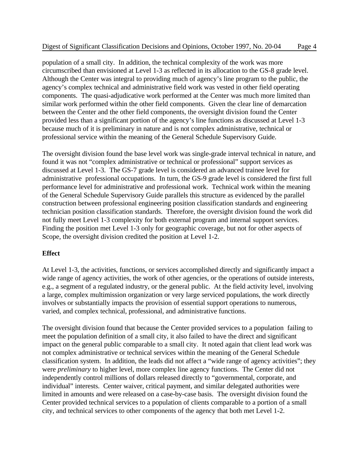population of a small city. In addition, the technical complexity of the work was more circumscribed than envisioned at Level 1-3 as reflected in its allocation to the GS-8 grade level. Although the Center was integral to providing much of agency's line program to the public, the agency's complex technical and administrative field work was vested in other field operating components. The quasi-adjudicative work performed at the Center was much more limited than similar work performed within the other field components. Given the clear line of demarcation between the Center and the other field components, the oversight division found the Center provided less than a significant portion of the agency's line functions as discussed at Level 1-3 because much of it is preliminary in nature and is not complex administrative, technical or professional service within the meaning of the General Schedule Supervisory Guide.

The oversight division found the base level work was single-grade interval technical in nature, and found it was not "complex administrative or technical or professional" support services as discussed at Level 1-3. The GS-7 grade level is considered an advanced trainee level for administrative professional occupations. In turn, the GS-9 grade level is considered the first full performance level for administrative and professional work. Technical work within the meaning of the General Schedule Supervisory Guide parallels this structure as evidenced by the parallel construction between professional engineering position classification standards and engineering technician position classification standards. Therefore, the oversight division found the work did not fully meet Level 1-3 complexity for both external program and internal support services. Finding the position met Level 1-3 only for geographic coverage, but not for other aspects of Scope, the oversight division credited the position at Level 1-2.

## **Effect**

At Level 1-3, the activities, functions, or services accomplished directly and significantly impact a wide range of agency activities, the work of other agencies, or the operations of outside interests, e.g., a segment of a regulated industry, or the general public. At the field activity level, involving a large, complex multimission organization or very large serviced populations, the work directly involves or substantially impacts the provision of essential support operations to numerous, varied, and complex technical, professional, and administrative functions.

The oversight division found that because the Center provided services to a population failing to meet the population definition of a small city, it also failed to have the direct and significant impact on the general public comparable to a small city. It noted again that client lead work was not complex administrative or technical services within the meaning of the General Schedule classification system. In addition, the leads did not affect a "wide range of agency activities"; they were *preliminary* to higher level, more complex line agency functions. The Center did not independently control millions of dollars released directly to "governmental, corporate, and individual" interests. Center waiver, critical payment, and similar delegated authorities were limited in amounts and were released on a case-by-case basis. The oversight division found the Center provided technical services to a population of clients comparable to a portion of a small city, and technical services to other components of the agency that both met Level 1-2.